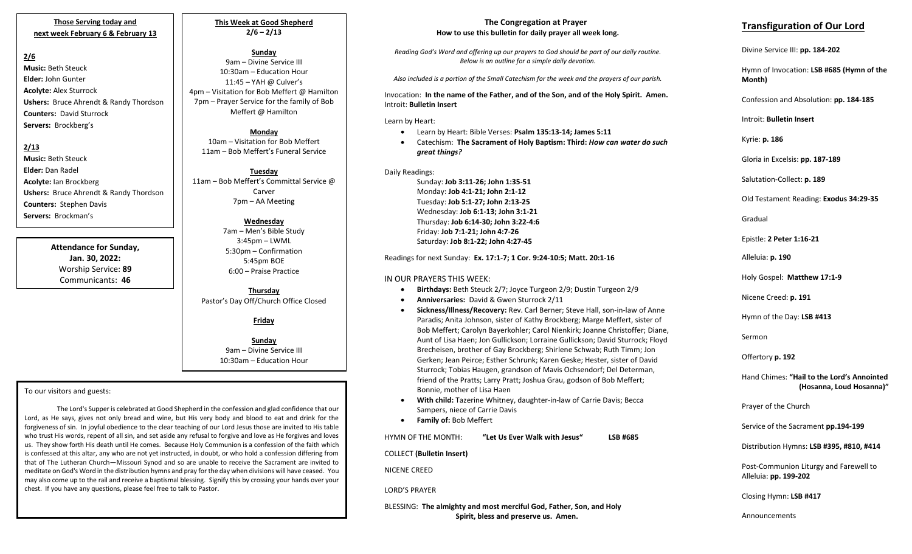#### **Those Serving today and next week February 6 & February 13**

## **2/6**

**Music:** Beth Steuck **Elder:** John Gunter **Acolyte:** Alex Sturrock **Ushers:** Bruce Ahrendt & Randy Thordson **Counters:** David Sturrock **Servers:** Brockberg's

## **2/13**

**Music:** Beth Steuck **Elder:** Dan Radel **Acolyte:** Ian Brockberg **Ushers:** Bruce Ahrendt & Randy Thordson **Counters:** Stephen Davis **Servers:** Brockman's

> **Attendance for Sunday, Jan. 30, 2022:** Worship Service: **89** Communicants: **46**

**This Week at Good Shepherd 2/6 – 2/13**

## **Sunday**

9am – Divine Service III 10:30am – Education Hour 11:45 – YAH @ Culver's 4pm – Visitation for Bob Meffert @ Hamilton 7pm – Prayer Service for the family of Bob Meffert @ Hamilton

## **Monday**

10am – Visitation for Bob Meffert 11am – Bob Meffert's Funeral Service

**Tuesday** 11am – Bob Meffert's Committal Service @ Carver 7pm – AA Meeting

#### **Wednesday**

7am – Men's Bible Study 3:45pm – LWML 5:30pm – Confirmation 5:45pm BOE 6:00 – Praise Practice

**Thursday** Pastor's Day Off/Church Office Closed

#### **Friday**

**Sunday** 9am – Divine Service III 10:30am – Education Hour

#### To our visitors and guests:

The Lord's Supper is celebrated at Good Shepherd in the confession and glad confidence that our Lord, as He says, gives not only bread and wine, but His very body and blood to eat and drink for the forgiveness of sin. In joyful obedience to the clear teaching of our Lord Jesus those are invited to His table who trust His words, repent of all sin, and set aside any refusal to forgive and love as He forgives and loves us. They show forth His death until He comes. Because Holy Communion is a confession of the faith which is confessed at this altar, any who are not yet instructed, in doubt, or who hold a confession differing from that of The Lutheran Church—Missouri Synod and so are unable to receive the Sacrament are invited to meditate on God's Word in the distribution hymns and pray for the day when divisions will have ceased. You may also come up to the rail and receive a baptismal blessing. Signify this by crossing your hands over your chest. If you have any questions, please feel free to talk to Pastor.

#### **The Congregation at Prayer How to use this bulletin for daily prayer all week long.**

*Reading God's Word and offering up our prayers to God should be part of our daily routine. Below is an outline for a simple daily devotion.*

*Also included is a portion of the Small Catechism for the week and the prayers of our parish.*

Invocation: **In the name of the Father, and of the Son, and of the Holy Spirit. Amen.** Introit: **Bulletin Insert**

Learn by Heart:

- Learn by Heart: Bible Verses: **Psalm 135:13-14; James 5:11**
- Catechism: **The Sacrament of Holy Baptism: Third:** *How can water do such great things?*

Daily Readings:

Sunday: **Job 3:11-26; John 1:35-51** Monday: **Job 4:1-21; John 2:1-12** Tuesday: **Job 5:1-27; John 2:13-25** Wednesday: **Job 6:1-13; John 3:1-21** Thursday: **Job 6:14-30; John 3:22-4:6** Friday: **Job 7:1-21; John 4:7-26** Saturday: **Job 8:1-22; John 4:27-45**

Readings for next Sunday: **Ex. 17:1-7; 1 Cor. 9:24-10:5; Matt. 20:1-16**

### IN OUR PRAYERS THIS WEEK:

- **Birthdays:** Beth Steuck 2/7; Joyce Turgeon 2/9; Dustin Turgeon 2/9
- **Anniversaries:** David & Gwen Sturrock 2/11
- **Sickness/Illness/Recovery:** Rev. Carl Berner; Steve Hall, son-in-law of Anne Paradis; Anita Johnson, sister of Kathy Brockberg; Marge Meffert, sister of Bob Meffert; Carolyn Bayerkohler; Carol Nienkirk; Joanne Christoffer; Diane, Aunt of Lisa Haen; Jon Gullickson; Lorraine Gullickson; David Sturrock; Floyd Brecheisen, brother of Gay Brockberg; Shirlene Schwab; Ruth Timm; Jon Gerken; Jean Peirce; Esther Schrunk; Karen Geske; Hester, sister of David Sturrock; Tobias Haugen, grandson of Mavis Ochsendorf; Del Determan, friend of the Pratts; Larry Pratt; Joshua Grau, godson of Bob Meffert; Bonnie, mother of Lisa Haen
- **With child:** Tazerine Whitney, daughter-in-law of Carrie Davis; Becca Sampers, niece of Carrie Davis
- **Family of:** Bob Meffert

HYMN OF THE MONTH: **"Let Us Ever Walk with Jesus" LSB #685**

COLLECT **(Bulletin Insert)**

NICENE CREED

LORD'S PRAYER

BLESSING: **The almighty and most merciful God, Father, Son, and Holy Spirit, bless and preserve us. Amen.**

# **Transfiguration of Our Lord**

Divine Service III: **pp. 184-202**

Hymn of Invocation: **LSB #685 (Hymn of the Month)**

Confession and Absolution: **pp. 184-185**

Introit: **Bulletin Insert** 

Kyrie: **p. 186** 

Gloria in Excelsis: **pp. 187-189**

Salutation-Collect: **p. 189**

Old Testament Reading: **Exodus 34:29-35**

Gradual

Epistle: **2 Peter 1:16-21**

Alleluia: **p. 190**

Holy Gospel: **Matthew 17:1-9**

Nicene Creed: **p. 191**

Hymn of the Day: **LSB #413**

Sermon

Offertory **p. 192**

Hand Chimes: **"Hail to the Lord's Annointed (Hosanna, Loud Hosanna)"**

Prayer of the Church

Service of the Sacrament **pp.194-199**

Distribution Hymns: **LSB #395, #810, #414**

Post-Communion Liturgy and Farewell to Alleluia: **pp. 199-202** 

Closing Hymn: **LSB #417**

Announcements